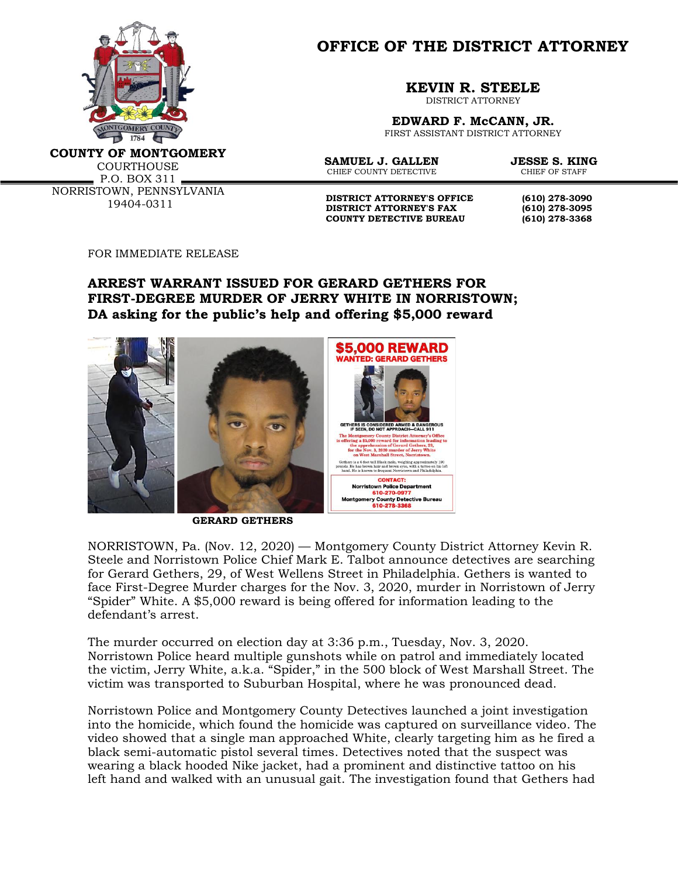

**OFFICE OF THE DISTRICT ATTORNEY**

**KEVIN R. STEELE**

DISTRICT ATTORNEY

**EDWARD F. McCANN, JR.** FIRST ASSISTANT DISTRICT ATTORNEY

**COUNTY OF MONTGOMERY**

**COURTHOUSE** P.O. BOX 311 NORRISTOWN, PENNSYLVANIA 19404-0311

**SAMUEL J. GALLEN JESSE S. KING**<br>CHIER COUNTY DETECTIVE CHIER OF STAFF CHIEF COUNTY DETECTIVE

**DISTRICT ATTORNEY'S OFFICE** (610) 278-3090<br>DISTRICT ATTORNEY'S FAX (610) 278-3095 **DISTRICT ATTORNEY'S FAX COUNTY DETECTIVE BUREAU (610) 278-3368**

FOR IMMEDIATE RELEASE

## **ARREST WARRANT ISSUED FOR GERARD GETHERS FOR FIRST-DEGREE MURDER OF JERRY WHITE IN NORRISTOWN; DA asking for the public's help and offering \$5,000 reward**



 **GERARD GETHERS**

NORRISTOWN, Pa. (Nov. 12, 2020) — Montgomery County District Attorney Kevin R. Steele and Norristown Police Chief Mark E. Talbot announce detectives are searching for Gerard Gethers, 29, of West Wellens Street in Philadelphia. Gethers is wanted to face First-Degree Murder charges for the Nov. 3, 2020, murder in Norristown of Jerry "Spider" White. A \$5,000 reward is being offered for information leading to the defendant's arrest.

The murder occurred on election day at 3:36 p.m., Tuesday, Nov. 3, 2020. Norristown Police heard multiple gunshots while on patrol and immediately located the victim, Jerry White, a.k.a. "Spider," in the 500 block of West Marshall Street. The victim was transported to Suburban Hospital, where he was pronounced dead.

Norristown Police and Montgomery County Detectives launched a joint investigation into the homicide, which found the homicide was captured on surveillance video. The video showed that a single man approached White, clearly targeting him as he fired a black semi-automatic pistol several times. Detectives noted that the suspect was wearing a black hooded Nike jacket, had a prominent and distinctive tattoo on his left hand and walked with an unusual gait. The investigation found that Gethers had